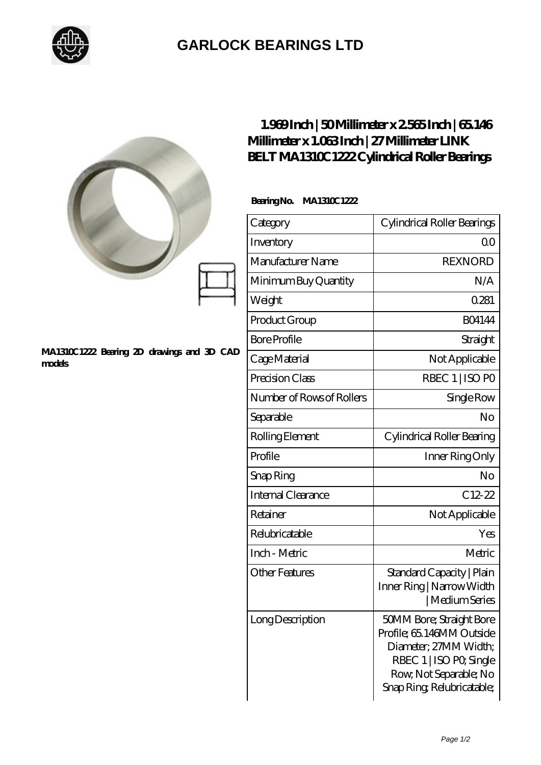

## **[GARLOCK BEARINGS LTD](https://m.letterstopriests.com)**

|                                                      | Millimeter x 1.063Inch   27 Millimeter LINK<br>BELT MA1310C1222 Cylindrical Roller Bearings | $1.969$ Inch   50Millimeter x 2565 Inch   65146                                                                                                                  |
|------------------------------------------------------|---------------------------------------------------------------------------------------------|------------------------------------------------------------------------------------------------------------------------------------------------------------------|
|                                                      | BearingNo.<br>MA1310C1222                                                                   |                                                                                                                                                                  |
|                                                      | Category                                                                                    | Cylindrical Roller Bearings                                                                                                                                      |
|                                                      | Inventory                                                                                   | Q <sub>O</sub>                                                                                                                                                   |
|                                                      | Manufacturer Name                                                                           | <b>REXNORD</b>                                                                                                                                                   |
| MA1310C1222 Bearing 2D drawings and 3D CAD<br>models | Minimum Buy Quantity                                                                        | N/A                                                                                                                                                              |
|                                                      | Weight                                                                                      | 0.281                                                                                                                                                            |
|                                                      | Product Group                                                                               | <b>BO4144</b>                                                                                                                                                    |
|                                                      | <b>Bore Profile</b>                                                                         | Straight                                                                                                                                                         |
|                                                      | Cage Material                                                                               | Not Applicable                                                                                                                                                   |
|                                                      | Precision Class                                                                             | RBEC 1   ISO PO                                                                                                                                                  |
|                                                      | Number of Rows of Rollers                                                                   | Single Row                                                                                                                                                       |
|                                                      | Separable                                                                                   | N <sub>o</sub>                                                                                                                                                   |
|                                                      | Rolling Element                                                                             | Cylindrical Roller Bearing                                                                                                                                       |
|                                                      | Profile                                                                                     | Inner Ring Only                                                                                                                                                  |
|                                                      | Snap Ring                                                                                   | No                                                                                                                                                               |
|                                                      | Internal Clearance                                                                          | $C12-22$                                                                                                                                                         |
|                                                      | Retainer                                                                                    | Not Applicable                                                                                                                                                   |
|                                                      | Relubricatable                                                                              | Yes                                                                                                                                                              |
|                                                      | Inch - Metric                                                                               | Metric                                                                                                                                                           |
|                                                      | <b>Other Features</b>                                                                       | Standard Capacity   Plain<br>Inner Ring   Narrow Width<br>  Medium Series                                                                                        |
|                                                      | Long Description                                                                            | 50MM Bore; Straight Bore<br>Profile; 65.146MM Outside<br>Diameter; 27MM Width;<br>RBEC 1   ISO PO, Single<br>Row, Not Separable; No<br>Snap Ring Relubricatable; |